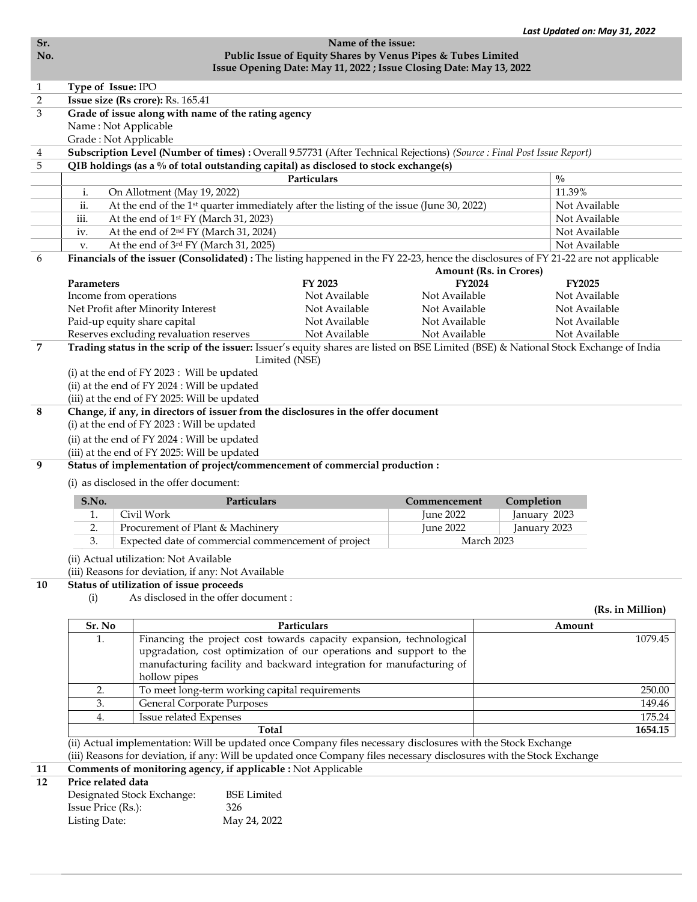|                                                                     |                                                                                                                                                                                                                                                                                                                                                                                                                 |               |                  | Last Updated on: May 31, 2022 |                  |  |  |  |  |  |
|---------------------------------------------------------------------|-----------------------------------------------------------------------------------------------------------------------------------------------------------------------------------------------------------------------------------------------------------------------------------------------------------------------------------------------------------------------------------------------------------------|---------------|------------------|-------------------------------|------------------|--|--|--|--|--|
| Name of the issue:                                                  |                                                                                                                                                                                                                                                                                                                                                                                                                 |               |                  |                               |                  |  |  |  |  |  |
|                                                                     | Public Issue of Equity Shares by Venus Pipes & Tubes Limited                                                                                                                                                                                                                                                                                                                                                    |               |                  |                               |                  |  |  |  |  |  |
| Issue Opening Date: May 11, 2022 ; Issue Closing Date: May 13, 2022 |                                                                                                                                                                                                                                                                                                                                                                                                                 |               |                  |                               |                  |  |  |  |  |  |
| Type of Issue: IPO                                                  |                                                                                                                                                                                                                                                                                                                                                                                                                 |               |                  |                               |                  |  |  |  |  |  |
|                                                                     | Issue size (Rs crore): Rs. 165.41                                                                                                                                                                                                                                                                                                                                                                               |               |                  |                               |                  |  |  |  |  |  |
|                                                                     | Grade of issue along with name of the rating agency                                                                                                                                                                                                                                                                                                                                                             |               |                  |                               |                  |  |  |  |  |  |
|                                                                     | Name: Not Applicable                                                                                                                                                                                                                                                                                                                                                                                            |               |                  |                               |                  |  |  |  |  |  |
|                                                                     | Grade: Not Applicable                                                                                                                                                                                                                                                                                                                                                                                           |               |                  |                               |                  |  |  |  |  |  |
|                                                                     | Subscription Level (Number of times) : Overall 9.57731 (After Technical Rejections) (Source : Final Post Issue Report)                                                                                                                                                                                                                                                                                          |               |                  |                               |                  |  |  |  |  |  |
|                                                                     | QIB holdings (as a % of total outstanding capital) as disclosed to stock exchange(s)                                                                                                                                                                                                                                                                                                                            | Particulars   |                  |                               |                  |  |  |  |  |  |
|                                                                     |                                                                                                                                                                                                                                                                                                                                                                                                                 | $\frac{0}{0}$ |                  |                               |                  |  |  |  |  |  |
| i.                                                                  | On Allotment (May 19, 2022)                                                                                                                                                                                                                                                                                                                                                                                     | 11.39%        |                  |                               |                  |  |  |  |  |  |
| ii.                                                                 | At the end of the 1 <sup>st</sup> quarter immediately after the listing of the issue (June 30, 2022)                                                                                                                                                                                                                                                                                                            | Not Available |                  |                               |                  |  |  |  |  |  |
| iii.                                                                | At the end of 1 <sup>st</sup> FY (March 31, 2023)                                                                                                                                                                                                                                                                                                                                                               |               |                  | Not Available                 |                  |  |  |  |  |  |
| iv.                                                                 | At the end of 2 <sup>nd</sup> FY (March 31, 2024)                                                                                                                                                                                                                                                                                                                                                               |               |                  | Not Available                 |                  |  |  |  |  |  |
| v.                                                                  | At the end of 3rd FY (March 31, 2025)                                                                                                                                                                                                                                                                                                                                                                           |               |                  | Not Available                 |                  |  |  |  |  |  |
|                                                                     | Financials of the issuer (Consolidated) : The listing happened in the FY 22-23, hence the disclosures of FY 21-22 are not applicable                                                                                                                                                                                                                                                                            |               |                  | <b>Amount (Rs. in Crores)</b> |                  |  |  |  |  |  |
| <b>Parameters</b>                                                   |                                                                                                                                                                                                                                                                                                                                                                                                                 | FY 2023       | <b>FY2024</b>    | <b>FY2025</b>                 |                  |  |  |  |  |  |
|                                                                     | Income from operations                                                                                                                                                                                                                                                                                                                                                                                          | Not Available | Not Available    | Not Available                 |                  |  |  |  |  |  |
|                                                                     | Net Profit after Minority Interest                                                                                                                                                                                                                                                                                                                                                                              | Not Available | Not Available    | Not Available                 |                  |  |  |  |  |  |
|                                                                     | Paid-up equity share capital                                                                                                                                                                                                                                                                                                                                                                                    | Not Available | Not Available    | Not Available                 |                  |  |  |  |  |  |
|                                                                     | Reserves excluding revaluation reserves                                                                                                                                                                                                                                                                                                                                                                         | Not Available | Not Available    | Not Available                 |                  |  |  |  |  |  |
|                                                                     | Trading status in the scrip of the issuer: Issuer's equity shares are listed on BSE Limited (BSE) & National Stock Exchange of India                                                                                                                                                                                                                                                                            |               |                  |                               |                  |  |  |  |  |  |
|                                                                     | (ii) at the end of FY 2024 : Will be updated<br>(iii) at the end of FY 2025: Will be updated<br>Change, if any, in directors of issuer from the disclosures in the offer document<br>(i) at the end of FY 2023 : Will be updated<br>(ii) at the end of FY 2024 : Will be updated<br>(iii) at the end of FY 2025: Will be updated<br>Status of implementation of project/commencement of commercial production : |               |                  |                               |                  |  |  |  |  |  |
|                                                                     | (i) as disclosed in the offer document:                                                                                                                                                                                                                                                                                                                                                                         |               |                  |                               |                  |  |  |  |  |  |
| S.No.                                                               | Particulars                                                                                                                                                                                                                                                                                                                                                                                                     |               | Commencement     | Completion                    |                  |  |  |  |  |  |
| 1.                                                                  | Civil Work                                                                                                                                                                                                                                                                                                                                                                                                      |               | June 2022        | January 2023                  |                  |  |  |  |  |  |
| 2.                                                                  | Procurement of Plant & Machinery                                                                                                                                                                                                                                                                                                                                                                                |               | <b>June 2022</b> | January 2023                  |                  |  |  |  |  |  |
| 3.                                                                  | Expected date of commercial commencement of project                                                                                                                                                                                                                                                                                                                                                             |               |                  | March 2023                    |                  |  |  |  |  |  |
|                                                                     | (ii) Actual utilization: Not Available<br>(iii) Reasons for deviation, if any: Not Available                                                                                                                                                                                                                                                                                                                    |               |                  |                               |                  |  |  |  |  |  |
|                                                                     | Status of utilization of issue proceeds                                                                                                                                                                                                                                                                                                                                                                         |               |                  |                               |                  |  |  |  |  |  |
| (i)                                                                 | As disclosed in the offer document:                                                                                                                                                                                                                                                                                                                                                                             |               |                  |                               |                  |  |  |  |  |  |
|                                                                     |                                                                                                                                                                                                                                                                                                                                                                                                                 |               |                  |                               | (Rs. in Million) |  |  |  |  |  |
| Sr. No                                                              |                                                                                                                                                                                                                                                                                                                                                                                                                 | Particulars   |                  | Amount                        |                  |  |  |  |  |  |
| 1.                                                                  | Financing the project cost towards capacity expansion, technological                                                                                                                                                                                                                                                                                                                                            |               |                  |                               |                  |  |  |  |  |  |
|                                                                     | upgradation, cost optimization of our operations and support to the                                                                                                                                                                                                                                                                                                                                             |               | 1079.45          |                               |                  |  |  |  |  |  |
|                                                                     |                                                                                                                                                                                                                                                                                                                                                                                                                 |               |                  |                               |                  |  |  |  |  |  |
|                                                                     | manufacturing facility and backward integration for manufacturing of                                                                                                                                                                                                                                                                                                                                            |               |                  |                               |                  |  |  |  |  |  |
|                                                                     | hollow pipes                                                                                                                                                                                                                                                                                                                                                                                                    |               |                  |                               |                  |  |  |  |  |  |
| 2.                                                                  | To meet long-term working capital requirements                                                                                                                                                                                                                                                                                                                                                                  |               |                  |                               | 250.00           |  |  |  |  |  |
| 3.                                                                  | <b>General Corporate Purposes</b>                                                                                                                                                                                                                                                                                                                                                                               |               |                  |                               | 149.46           |  |  |  |  |  |
| 4.                                                                  | Issue related Expenses                                                                                                                                                                                                                                                                                                                                                                                          |               |                  |                               | 175.24           |  |  |  |  |  |
|                                                                     | <b>Total</b>                                                                                                                                                                                                                                                                                                                                                                                                    |               |                  |                               | 1654.15          |  |  |  |  |  |
|                                                                     | (ii) Actual implementation: Will be updated once Company files necessary disclosures with the Stock Exchange                                                                                                                                                                                                                                                                                                    |               |                  |                               |                  |  |  |  |  |  |
|                                                                     | (iii) Reasons for deviation, if any: Will be updated once Company files necessary disclosures with the Stock Exchange                                                                                                                                                                                                                                                                                           |               |                  |                               |                  |  |  |  |  |  |
| Price related data                                                  | Comments of monitoring agency, if applicable : Not Applicable                                                                                                                                                                                                                                                                                                                                                   |               |                  |                               |                  |  |  |  |  |  |

| Designated Stock Exchange: | <b>BSE</b> Limited |
|----------------------------|--------------------|
| Issue Price (Rs.):         | 326                |
| Listing Date:              | May 24, 2022       |
|                            |                    |

Sr.<br>No.

 $\frac{1}{2}$   $\frac{2}{3}$ 

 $\frac{4}{\frac{5}{}}$ 

 $\overline{6}$ 

 $\overline{7}$ 

 $\overline{\mathbf{8}}$ 

 $\overline{9}$ 

 $\overline{10}$ 

 $\frac{11}{12}$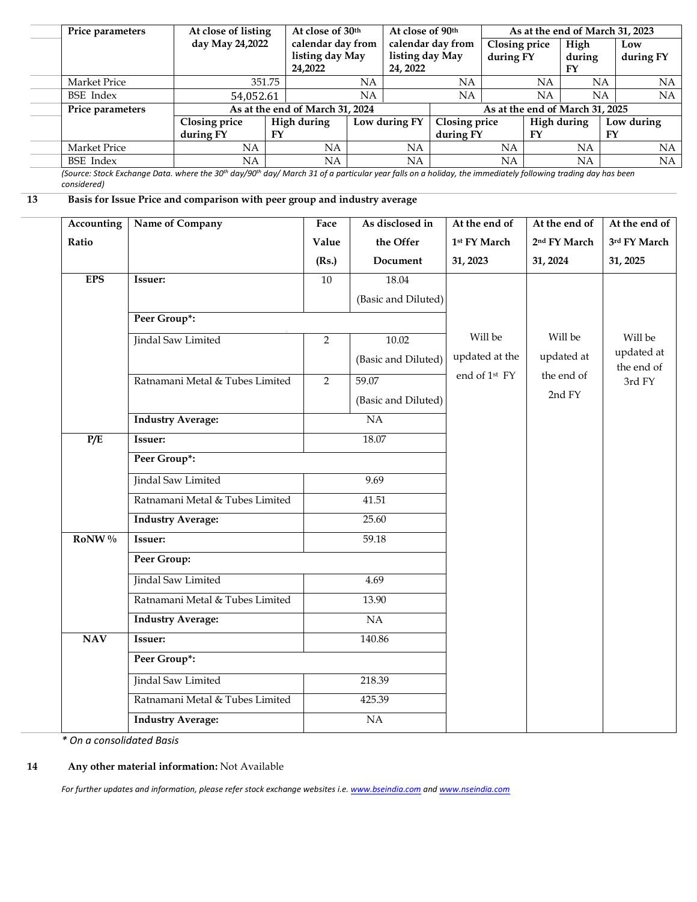|    | Price parameters |                                 | At close of listing<br>day May 24,2022                                                                                                                                              |           | At close of 30th<br>At close of 90th<br>calendar day from<br>listing day May<br>24,2022 |                                       |                                                  |    |                               | As at the end of March 31, 2023   |                                           |                      |                  |                  |  |
|----|------------------|---------------------------------|-------------------------------------------------------------------------------------------------------------------------------------------------------------------------------------|-----------|-----------------------------------------------------------------------------------------|---------------------------------------|--------------------------------------------------|----|-------------------------------|-----------------------------------|-------------------------------------------|----------------------|------------------|------------------|--|
|    |                  |                                 |                                                                                                                                                                                     |           |                                                                                         |                                       | calendar day from<br>listing day May<br>24, 2022 |    |                               | <b>Closing price</b><br>during FY |                                           | High<br>during<br>FY |                  | Low<br>during FY |  |
|    | Market Price     |                                 |                                                                                                                                                                                     | 351.75    |                                                                                         | NA                                    |                                                  |    | NA                            |                                   | NA                                        | NA                   |                  | NA               |  |
|    | <b>BSE</b> Index |                                 | 54,052.61                                                                                                                                                                           |           |                                                                                         | NA                                    |                                                  |    | NA                            |                                   | NA                                        |                      | NA               | <b>NA</b>        |  |
|    | Price parameters |                                 |                                                                                                                                                                                     |           |                                                                                         | As at the end of March 31, 2024       |                                                  |    |                               | As at the end of March 31, 2025   |                                           |                      |                  |                  |  |
|    |                  |                                 | <b>Closing price</b><br>during FY                                                                                                                                                   | <b>FY</b> | High during                                                                             |                                       | Low during FY                                    |    | Closing price<br>during FY    |                                   | <b>High during</b><br>FY                  |                      | Low during<br>FY |                  |  |
|    | Market Price     |                                 | NA                                                                                                                                                                                  |           | NA                                                                                      |                                       | <b>NA</b>                                        |    | NA                            |                                   | NA                                        |                      | NA               |                  |  |
|    | <b>BSE</b> Index | <b>NA</b>                       |                                                                                                                                                                                     | NA        | NA                                                                                      |                                       |                                                  | NA |                               | <b>NA</b>                         |                                           | <b>NA</b>            |                  |                  |  |
|    | considered)      |                                 | (Source: Stock Exchange Data. where the 30 <sup>th</sup> day/90 <sup>th</sup> day/ March 31 of a particular year falls on a holiday, the immediately following trading day has been |           |                                                                                         |                                       |                                                  |    |                               |                                   |                                           |                      |                  |                  |  |
| 13 |                  |                                 | Basis for Issue Price and comparison with peer group and industry average                                                                                                           |           |                                                                                         |                                       |                                                  |    |                               |                                   |                                           |                      |                  |                  |  |
|    | Accounting       | Name of Company                 |                                                                                                                                                                                     |           | Face                                                                                    | As disclosed in<br>Value<br>the Offer |                                                  |    | At the end of<br>1st FY March |                                   | At the end of<br>2 <sup>nd</sup> FY March |                      |                  | At the end of    |  |
|    | Ratio            |                                 |                                                                                                                                                                                     |           |                                                                                         |                                       |                                                  |    |                               |                                   |                                           |                      |                  | 3rd FY March     |  |
|    |                  |                                 |                                                                                                                                                                                     |           | (Rs.)                                                                                   | Document                              |                                                  |    | 31, 2023                      |                                   | 31, 2024                                  |                      |                  | 31, 2025         |  |
|    | <b>EPS</b>       | Issuer:                         |                                                                                                                                                                                     | 10        |                                                                                         | 18.04                                 |                                                  |    |                               |                                   |                                           |                      |                  |                  |  |
|    |                  |                                 |                                                                                                                                                                                     |           |                                                                                         |                                       | (Basic and Diluted)                              |    |                               |                                   |                                           |                      |                  |                  |  |
|    |                  | Peer Group*:                    |                                                                                                                                                                                     |           |                                                                                         |                                       |                                                  |    |                               |                                   |                                           |                      |                  |                  |  |
|    |                  |                                 | Jindal Saw Limited                                                                                                                                                                  |           | $\overline{2}$                                                                          |                                       | 10.02                                            |    | Will be                       |                                   | Will be                                   |                      |                  | Will be          |  |
|    |                  |                                 |                                                                                                                                                                                     |           |                                                                                         |                                       | (Basic and Diluted)                              |    | updated at the                |                                   | updated at                                |                      |                  | updated at       |  |
|    |                  | Ratnamani Metal & Tubes Limited |                                                                                                                                                                                     |           |                                                                                         |                                       |                                                  |    | end of 1 <sup>st</sup> FY     |                                   | the end of                                |                      | the end of       |                  |  |
|    |                  |                                 |                                                                                                                                                                                     | 2         | 59.07                                                                                   |                                       |                                                  |    |                               | 2nd FY                            |                                           |                      | 3rd FY           |                  |  |
|    |                  |                                 |                                                                                                                                                                                     |           |                                                                                         | (Basic and Diluted)                   |                                                  |    |                               |                                   |                                           |                      |                  |                  |  |
|    |                  |                                 | <b>Industry Average:</b>                                                                                                                                                            |           | NA                                                                                      |                                       |                                                  |    |                               |                                   |                                           |                      |                  |                  |  |
|    | P/E              | Issuer:                         |                                                                                                                                                                                     |           |                                                                                         | 18.07                                 |                                                  |    |                               |                                   |                                           |                      |                  |                  |  |
|    |                  | Peer Group*:                    |                                                                                                                                                                                     |           |                                                                                         |                                       |                                                  |    |                               |                                   |                                           |                      |                  |                  |  |
|    |                  |                                 | Jindal Saw Limited                                                                                                                                                                  |           |                                                                                         | 9.69                                  |                                                  |    |                               |                                   |                                           |                      |                  |                  |  |
|    |                  |                                 | Ratnamani Metal & Tubes Limited                                                                                                                                                     |           |                                                                                         | 41.51                                 |                                                  |    |                               |                                   |                                           |                      |                  |                  |  |
|    |                  |                                 | <b>Industry Average:</b>                                                                                                                                                            |           |                                                                                         | 25.60                                 |                                                  |    |                               |                                   |                                           |                      |                  |                  |  |
|    | RoNW%            | <b>Issuer:</b>                  |                                                                                                                                                                                     |           |                                                                                         | 59.18                                 |                                                  |    |                               |                                   |                                           |                      |                  |                  |  |
|    |                  | Peer Group:                     |                                                                                                                                                                                     |           |                                                                                         |                                       |                                                  |    |                               |                                   |                                           |                      |                  |                  |  |
|    |                  |                                 | Jindal Saw Limited                                                                                                                                                                  |           |                                                                                         | 4.69                                  |                                                  |    |                               |                                   |                                           |                      |                  |                  |  |
|    |                  |                                 | Ratnamani Metal & Tubes Limited                                                                                                                                                     |           |                                                                                         | 13.90                                 |                                                  |    |                               |                                   |                                           |                      |                  |                  |  |
|    |                  |                                 | <b>Industry Average:</b>                                                                                                                                                            |           |                                                                                         | NA                                    |                                                  |    |                               |                                   |                                           |                      |                  |                  |  |
|    | $\bold{NAV}$     | Issuer:                         |                                                                                                                                                                                     |           |                                                                                         | 140.86                                |                                                  |    |                               |                                   |                                           |                      |                  |                  |  |
|    |                  | Peer Group*:                    |                                                                                                                                                                                     |           |                                                                                         |                                       |                                                  |    |                               |                                   |                                           |                      |                  |                  |  |
|    |                  |                                 | Jindal Saw Limited                                                                                                                                                                  |           | 218.39                                                                                  |                                       |                                                  |    |                               |                                   |                                           |                      |                  |                  |  |
|    |                  |                                 | Ratnamani Metal & Tubes Limited                                                                                                                                                     |           |                                                                                         | 425.39                                |                                                  |    |                               |                                   |                                           |                      |                  |                  |  |
|    |                  |                                 | <b>Industry Average:</b>                                                                                                                                                            |           |                                                                                         | $\rm NA$                              |                                                  |    |                               |                                   |                                           |                      |                  |                  |  |

*\* On a consolidated Basis*

**14 Any other material information:** Not Available

*For further updates and information, please refer stock exchange websites i.e[. www.bseindia.com](http://www.bseindia.com/) an[d www.nseindia.com](http://www.nseindia.com/)*